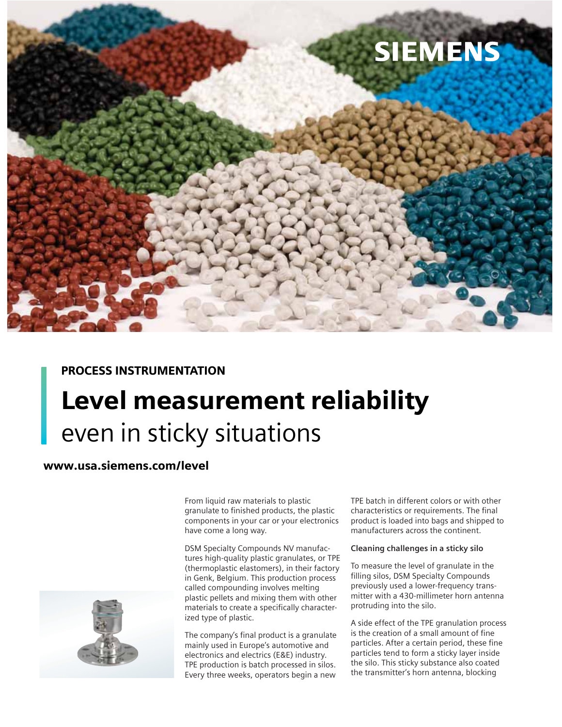

## PROCESS INSTRUMENTATION

# Level measurement reliability even in sticky situations

## www.usa.siemens.com/level

From liquid raw materials to plastic granulate to finished products, the plastic components in your car or your electronics have come a long way.

DSM Specialty Compounds NV manufactures high-quality plastic granulates, or TPE (thermoplastic elastomers), in their factory in Genk, Belgium. This production process called compounding involves melting plastic pellets and mixing them with other materials to create a specifically characterized type of plastic.

The company's final product is a granulate mainly used in Europe's automotive and electronics and electrics (E&E) industry. TPE production is batch processed in silos. Every three weeks, operators begin a new

TPE batch in different colors or with other characteristics or requirements. The final product is loaded into bags and shipped to manufacturers across the continent.

### **Cleaning challenges in a sticky silo**

To measure the level of granulate in the filling silos, DSM Specialty Compounds previously used a lower-frequency transmitter with a 430-millimeter horn antenna protruding into the silo.

A side effect of the TPE granulation process is the creation of a small amount of fine particles. After a certain period, these fine particles tend to form a sticky layer inside the silo. This sticky substance also coated the transmitter's horn antenna, blocking